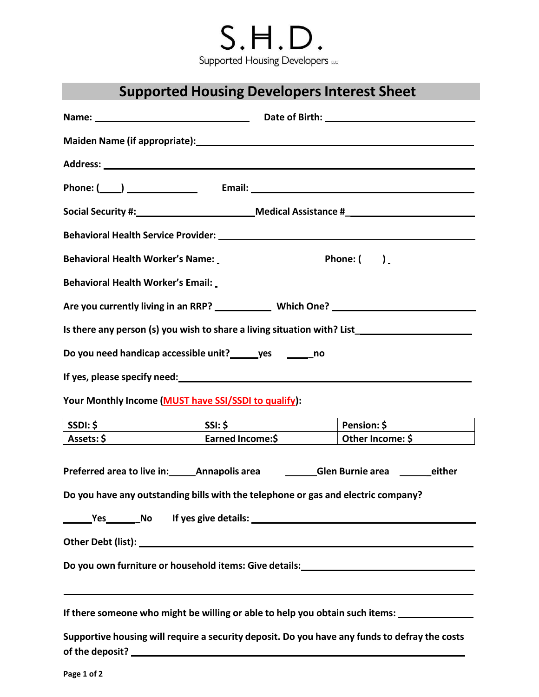# $S.H.D.$ Supported Housing Developers LLC

### **Supported Housing Developers Interest Sheet**

|                                                                                                                                                                                          | Name: Name: Name: Name: Name: Name: Name: Name: Name: Name: Name: Name: Name: Name: Name: Name: Name: Name: Na |             |  |  |  |
|------------------------------------------------------------------------------------------------------------------------------------------------------------------------------------------|----------------------------------------------------------------------------------------------------------------|-------------|--|--|--|
|                                                                                                                                                                                          |                                                                                                                |             |  |  |  |
|                                                                                                                                                                                          |                                                                                                                |             |  |  |  |
|                                                                                                                                                                                          |                                                                                                                |             |  |  |  |
|                                                                                                                                                                                          |                                                                                                                |             |  |  |  |
|                                                                                                                                                                                          |                                                                                                                |             |  |  |  |
| <b>Behavioral Health Worker's Name:</b><br>Phone: $\begin{pmatrix} \end{pmatrix}$                                                                                                        |                                                                                                                |             |  |  |  |
| <b>Behavioral Health Worker's Email:</b>                                                                                                                                                 |                                                                                                                |             |  |  |  |
| Are you currently living in an RRP? ______________ Which One? ___________________                                                                                                        |                                                                                                                |             |  |  |  |
| Is there any person (s) you wish to share a living situation with? List ___________________________                                                                                      |                                                                                                                |             |  |  |  |
| Do you need handicap accessible unit? ______ yes ________ no                                                                                                                             |                                                                                                                |             |  |  |  |
|                                                                                                                                                                                          |                                                                                                                |             |  |  |  |
| Your Monthly Income (MUST have SSI/SSDI to qualify):                                                                                                                                     |                                                                                                                |             |  |  |  |
| SSDI: \$<br>$\overline{\qquad \qquad }$ $\overline{\qquad \qquad }$ $\overline{\qquad \qquad }$ $\overline{\qquad \qquad }$                                                              |                                                                                                                | Pension: \$ |  |  |  |
| Assets: \$   Earned Income: \$   Other Income: \$                                                                                                                                        |                                                                                                                |             |  |  |  |
| Preferred area to live in: _______ Annapolis area ____________Glen Burnie area __________either<br>Do you have any outstanding bills with the telephone or gas and electric company?     |                                                                                                                |             |  |  |  |
| Ves No If yes give details: No If yes give details:                                                                                                                                      |                                                                                                                |             |  |  |  |
|                                                                                                                                                                                          |                                                                                                                |             |  |  |  |
| Do you own furniture or household items: Give details:__________________________                                                                                                         |                                                                                                                |             |  |  |  |
| ,我们也不会有什么。""我们的人,我们也不会有什么?""我们的人,我们也不会有什么?""我们的人,我们也不会有什么?""我们的人,我们也不会有什么?""我们的人<br>If there someone who might be willing or able to help you obtain such items: _______________________ |                                                                                                                |             |  |  |  |
| Supportive housing will require a security deposit. Do you have any funds to defray the costs<br>of the deposit?                                                                         |                                                                                                                |             |  |  |  |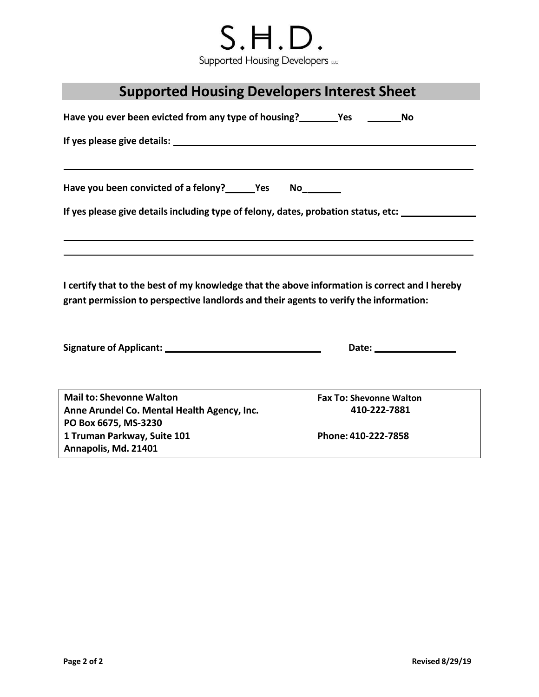## $S.H.D.$ Supported Housing Developers LLC

| <b>Supported Housing Developers Interest Sheet</b> |  |  |
|----------------------------------------------------|--|--|
|----------------------------------------------------|--|--|

| Have you ever been evicted from any type of housing?<br>Yes                                                                                                                            |                                | <b>No</b> |  |  |
|----------------------------------------------------------------------------------------------------------------------------------------------------------------------------------------|--------------------------------|-----------|--|--|
|                                                                                                                                                                                        |                                |           |  |  |
|                                                                                                                                                                                        |                                |           |  |  |
| Have you been convicted of a felony? _______Yes No_________                                                                                                                            |                                |           |  |  |
| If yes please give details including type of felony, dates, probation status, etc: ________________                                                                                    |                                |           |  |  |
|                                                                                                                                                                                        |                                |           |  |  |
|                                                                                                                                                                                        |                                |           |  |  |
| I certify that to the best of my knowledge that the above information is correct and I hereby<br>grant permission to perspective landlords and their agents to verify the information: |                                |           |  |  |
|                                                                                                                                                                                        |                                |           |  |  |
|                                                                                                                                                                                        |                                |           |  |  |
| <b>Mail to: Shevonne Walton</b>                                                                                                                                                        | <b>Fax To: Shevonne Walton</b> |           |  |  |
| Anne Arundel Co. Mental Health Agency, Inc.<br>PO Box 6675, MS-3230                                                                                                                    | 410-222-7881                   |           |  |  |
| 1 Truman Parkway, Suite 101<br>Annapolis, Md. 21401                                                                                                                                    | Phone: 410-222-7858            |           |  |  |